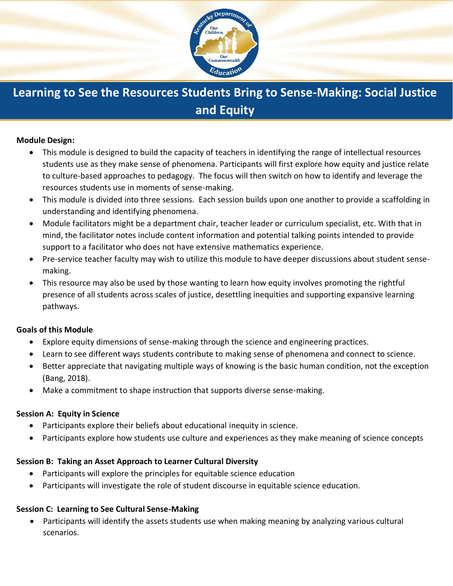

# **Learning to See the Resources Students Bring to Sense-Making: Social Justice and Equity**

### **Module Design:**

- This module is designed to build the capacity of teachers in identifying the range of intellectual resources students use as they make sense of phenomena. Participants will first explore how equity and justice relate to culture-based approaches to pedagogy. The focus will then switch on how to identify and leverage the resources students use in moments of sense-making.
- This module is divided into three sessions. Each session builds upon one another to provide a scaffolding in understanding and identifying phenomena.
- Module facilitators might be a department chair, teacher leader or curriculum specialist, etc. With that in mind, the facilitator notes include content information and potential talking points intended to provide support to a facilitator who does not have extensive mathematics experience.
- Pre-service teacher faculty may wish to utilize this module to have deeper discussions about student sensemaking.
- This resource may also be used by those wanting to learn how equity involves promoting the rightful presence of all students across scales of justice, desettling inequities and supporting expansive learning pathways.

#### **Goals of this Module**

- Explore equity dimensions of sense-making through the science and engineering practices.
- Learn to see different ways students contribute to making sense of phenomena and connect to science.
- Better appreciate that navigating multiple ways of knowing is the basic human condition, not the exception (Bang, 2018).
- Make a commitment to shape instruction that supports diverse sense-making.

#### **Session A: Equity in Science**

- Participants explore their beliefs about educational inequity in science.
- Participants explore how students use culture and experiences as they make meaning of science concepts

## **Session B: Taking an Asset Approach to Learner Cultural Diversity**

- Participants will explore the principles for equitable science education
- Participants will investigate the role of student discourse in equitable science education.

#### **Session C: Learning to See Cultural Sense-Making**

• Participants will identify the assets students use when making meaning by analyzing various cultural scenarios.